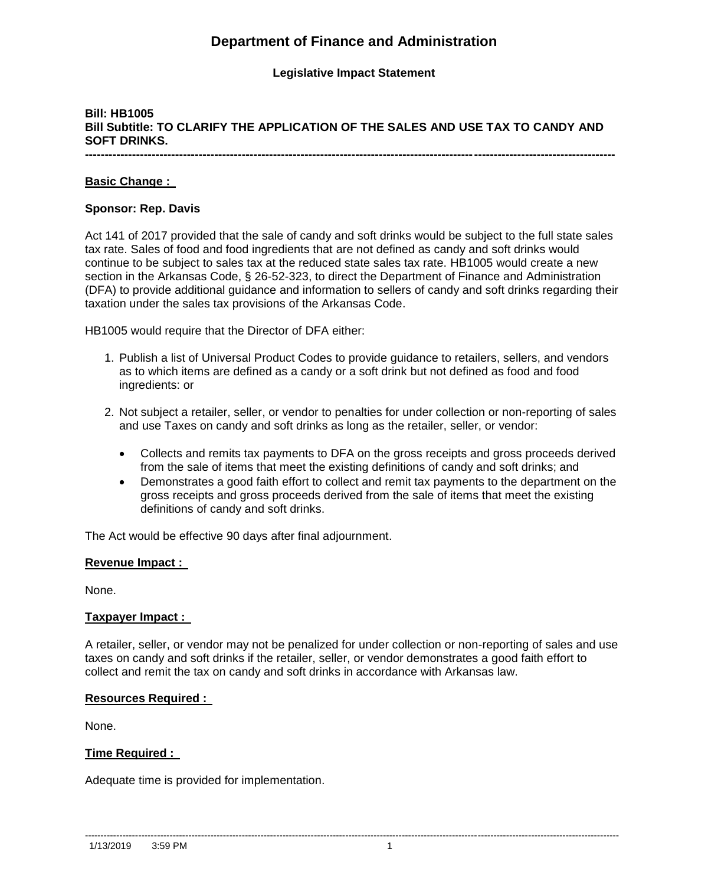# **Department of Finance and Administration**

### **Legislative Impact Statement**

## **Bill: HB1005 Bill Subtitle: TO CLARIFY THE APPLICATION OF THE SALES AND USE TAX TO CANDY AND SOFT DRINKS.**

**---------------------------------------------------------------------------------------------------------------------------------------**

### **Basic Change :**

### **Sponsor: Rep. Davis**

Act 141 of 2017 provided that the sale of candy and soft drinks would be subject to the full state sales tax rate. Sales of food and food ingredients that are not defined as candy and soft drinks would continue to be subject to sales tax at the reduced state sales tax rate. HB1005 would create a new section in the Arkansas Code, § 26-52-323, to direct the Department of Finance and Administration (DFA) to provide additional guidance and information to sellers of candy and soft drinks regarding their taxation under the sales tax provisions of the Arkansas Code.

HB1005 would require that the Director of DFA either:

- 1. Publish a list of Universal Product Codes to provide guidance to retailers, sellers, and vendors as to which items are defined as a candy or a soft drink but not defined as food and food ingredients: or
- 2. Not subject a retailer, seller, or vendor to penalties for under collection or non-reporting of sales and use Taxes on candy and soft drinks as long as the retailer, seller, or vendor:
	- Collects and remits tax payments to DFA on the gross receipts and gross proceeds derived from the sale of items that meet the existing definitions of candy and soft drinks; and
	- Demonstrates a good faith effort to collect and remit tax payments to the department on the gross receipts and gross proceeds derived from the sale of items that meet the existing definitions of candy and soft drinks.

The Act would be effective 90 days after final adjournment.

#### **Revenue Impact :**

None.

### **Taxpayer Impact :**

A retailer, seller, or vendor may not be penalized for under collection or non-reporting of sales and use taxes on candy and soft drinks if the retailer, seller, or vendor demonstrates a good faith effort to collect and remit the tax on candy and soft drinks in accordance with Arkansas law.

### **Resources Required :**

None.

### **Time Required :**

Adequate time is provided for implementation.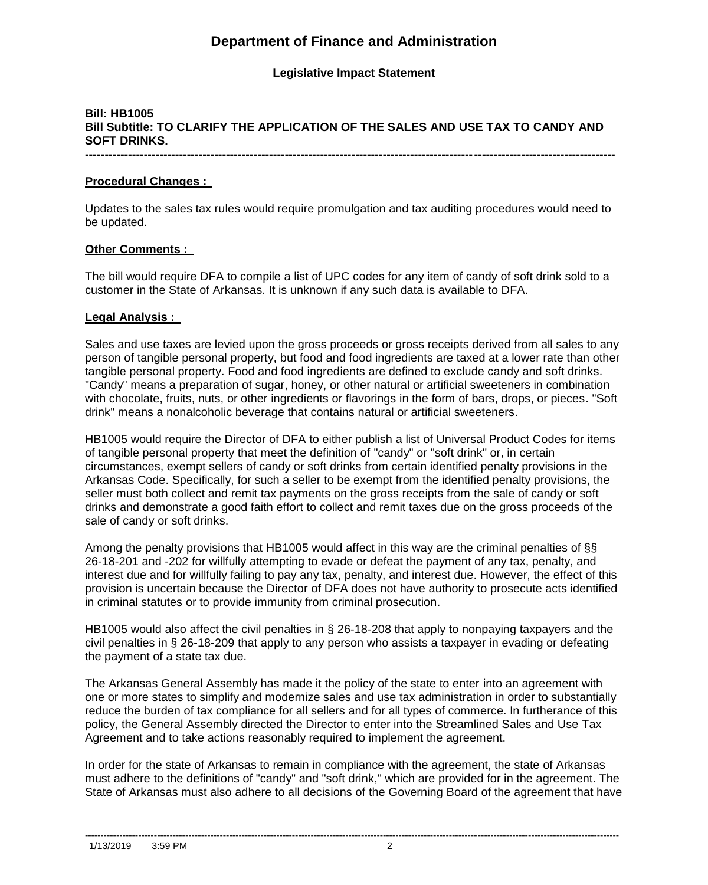# **Department of Finance and Administration**

### **Legislative Impact Statement**

## **Bill: HB1005 Bill Subtitle: TO CLARIFY THE APPLICATION OF THE SALES AND USE TAX TO CANDY AND SOFT DRINKS.**

**---------------------------------------------------------------------------------------------------------------------------------------**

### **Procedural Changes :**

Updates to the sales tax rules would require promulgation and tax auditing procedures would need to be updated.

### **Other Comments :**

The bill would require DFA to compile a list of UPC codes for any item of candy of soft drink sold to a customer in the State of Arkansas. It is unknown if any such data is available to DFA.

### **Legal Analysis :**

Sales and use taxes are levied upon the gross proceeds or gross receipts derived from all sales to any person of tangible personal property, but food and food ingredients are taxed at a lower rate than other tangible personal property. Food and food ingredients are defined to exclude candy and soft drinks. "Candy" means a preparation of sugar, honey, or other natural or artificial sweeteners in combination with chocolate, fruits, nuts, or other ingredients or flavorings in the form of bars, drops, or pieces. "Soft drink" means a nonalcoholic beverage that contains natural or artificial sweeteners.

HB1005 would require the Director of DFA to either publish a list of Universal Product Codes for items of tangible personal property that meet the definition of "candy" or "soft drink" or, in certain circumstances, exempt sellers of candy or soft drinks from certain identified penalty provisions in the Arkansas Code. Specifically, for such a seller to be exempt from the identified penalty provisions, the seller must both collect and remit tax payments on the gross receipts from the sale of candy or soft drinks and demonstrate a good faith effort to collect and remit taxes due on the gross proceeds of the sale of candy or soft drinks.

Among the penalty provisions that HB1005 would affect in this way are the criminal penalties of §§ 26-18-201 and -202 for willfully attempting to evade or defeat the payment of any tax, penalty, and interest due and for willfully failing to pay any tax, penalty, and interest due. However, the effect of this provision is uncertain because the Director of DFA does not have authority to prosecute acts identified in criminal statutes or to provide immunity from criminal prosecution.

HB1005 would also affect the civil penalties in § 26-18-208 that apply to nonpaying taxpayers and the civil penalties in § 26-18-209 that apply to any person who assists a taxpayer in evading or defeating the payment of a state tax due.

The Arkansas General Assembly has made it the policy of the state to enter into an agreement with one or more states to simplify and modernize sales and use tax administration in order to substantially reduce the burden of tax compliance for all sellers and for all types of commerce. In furtherance of this policy, the General Assembly directed the Director to enter into the Streamlined Sales and Use Tax Agreement and to take actions reasonably required to implement the agreement.

In order for the state of Arkansas to remain in compliance with the agreement, the state of Arkansas must adhere to the definitions of "candy" and "soft drink," which are provided for in the agreement. The State of Arkansas must also adhere to all decisions of the Governing Board of the agreement that have

--------------------------------------------------------------------------------------------------------------------------------------------------------------------------